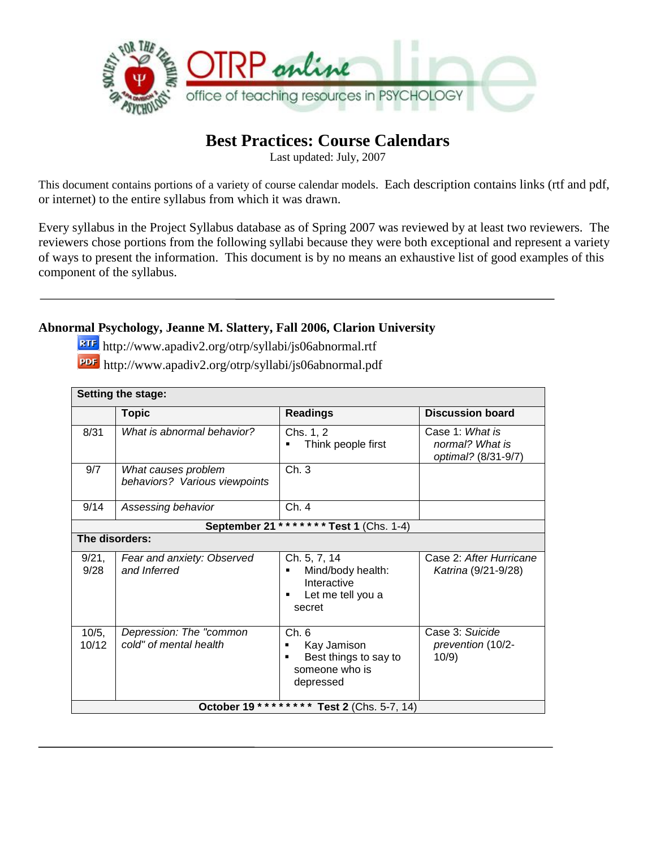

### **Best Practices: Course Calendars**

Last updated: July, 2007

This document contains portions of a variety of course calendar models. Each description contains links (rtf and pdf, or internet) to the entire syllabus from which it was drawn.

Every syllabus in the Project Syllabus database as of Spring 2007 was reviewed by at least two reviewers. The reviewers chose portions from the following syllabi because they were both exceptional and represent a variety of ways to present the information. This document is by no means an exhaustive list of good examples of this component of the syllabus.

#### **Abnormal Psychology, Jeanne M. Slattery, Fall 2006, Clarion University**

http://www.apadiv2.org/otrp/syllabi/js06abnormal.rtf

| PDF http://www.apadiv2.org/otrp/syllabi/js06abnormal.pdf |  |  |  |
|----------------------------------------------------------|--|--|--|
|                                                          |  |  |  |

| <b>Setting the stage:</b> |                                                      |                                                                                      |                                                           |  |
|---------------------------|------------------------------------------------------|--------------------------------------------------------------------------------------|-----------------------------------------------------------|--|
|                           | <b>Topic</b>                                         | <b>Readings</b>                                                                      | <b>Discussion board</b>                                   |  |
| 8/31                      | What is abnormal behavior?                           | Chs. 1, 2<br>Think people first                                                      | Case 1: What is<br>normal? What is<br>optimal? (8/31-9/7) |  |
| 9/7                       | What causes problem<br>behaviors? Various viewpoints | Ch.3                                                                                 |                                                           |  |
| 9/14                      | Assessing behavior                                   | Ch. 4                                                                                |                                                           |  |
|                           | September 21                                         | ******* Test 1 (Chs. 1-4)                                                            |                                                           |  |
| The disorders:            |                                                      |                                                                                      |                                                           |  |
| 9/21,<br>9/28             | Fear and anxiety: Observed<br>and Inferred           | Ch. 5, 7, 14<br>Mind/body health:<br>Interactive<br>Let me tell you a<br>٠<br>secret | Case 2: After Hurricane<br>Katrina (9/21-9/28)            |  |
| 10/5,<br>10/12            | Depression: The "common<br>cold" of mental health    | Ch. 6<br>Kay Jamison<br>Best things to say to<br>٠<br>someone who is<br>depressed    | Case 3: Suicide<br>prevention (10/2-<br>10/9)             |  |
|                           | October 19                                           | <b>Test 2</b> (Chs. 5-7, 14)                                                         |                                                           |  |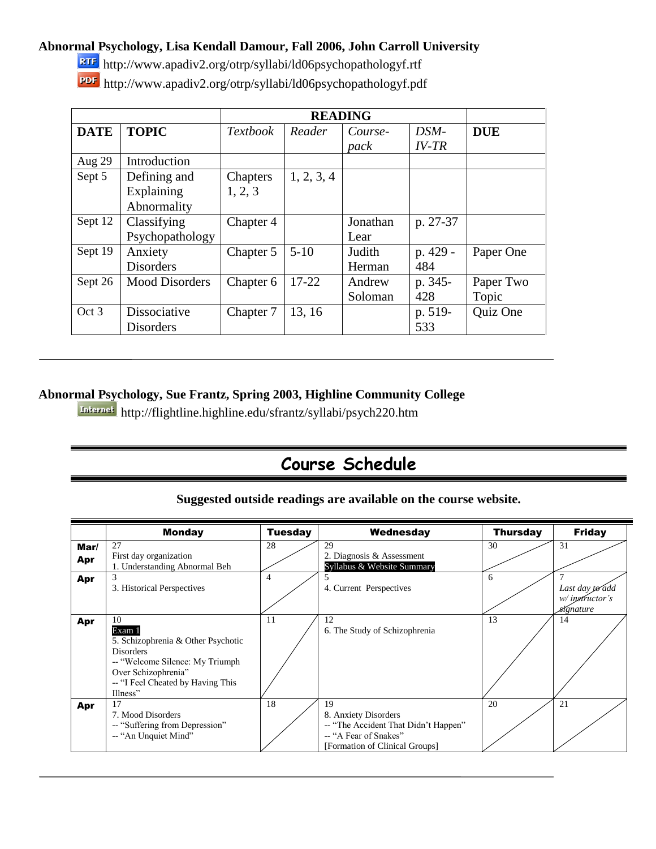#### **Abnormal Psychology, Lisa Kendall Damour, Fall 2006, John Carroll University**

http://www.apadiv2.org/otrp/syllabi/ld06psychopathologyf.rtf http://www.apadiv2.org/otrp/syllabi/ld06psychopathologyf.pdf

|             |                                           |                     |            | <b>READING</b>    |                 |                    |
|-------------|-------------------------------------------|---------------------|------------|-------------------|-----------------|--------------------|
| <b>DATE</b> | <b>TOPIC</b>                              | <i>Textbook</i>     | Reader     | Course-<br>pack   | DSM-<br>$IV-TR$ | <b>DUE</b>         |
| Aug 29      | Introduction                              |                     |            |                   |                 |                    |
| Sept 5      | Defining and<br>Explaining<br>Abnormality | Chapters<br>1, 2, 3 | 1, 2, 3, 4 |                   |                 |                    |
| Sept 12     | Classifying<br>Psychopathology            | Chapter 4           |            | Jonathan<br>Lear  | p. 27-37        |                    |
| Sept 19     | Anxiety<br><b>Disorders</b>               | Chapter 5           | $5-10$     | Judith<br>Herman  | p. 429 -<br>484 | Paper One          |
| Sept 26     | <b>Mood Disorders</b>                     | Chapter 6           | 17-22      | Andrew<br>Soloman | p. 345-<br>428  | Paper Two<br>Topic |
| Oct 3       | Dissociative<br><b>Disorders</b>          | Chapter 7           | 13, 16     |                   | p. 519-<br>533  | Quiz One           |

#### **Abnormal Psychology, Sue Frantz, Spring 2003, Highline Community College**

http://flightline.highline.edu/sfrantz/syllabi/psych220.htm

# **Course Schedule**

#### **Suggested outside readings are available on the course website.**

|               | <b>Monday</b>                                                                                                                                                                      | <b>Tuesday</b> | Wednesday                                                                                                                     | <b>Thursday</b> | <b>Friday</b>                                     |
|---------------|------------------------------------------------------------------------------------------------------------------------------------------------------------------------------------|----------------|-------------------------------------------------------------------------------------------------------------------------------|-----------------|---------------------------------------------------|
| $Mar/$<br>Apr | 27<br>First day organization<br>1. Understanding Abnormal Beh                                                                                                                      | 28             | 29<br>2. Diagnosis & Assessment<br>Syllabus & Website Summary                                                                 | 30              | 31                                                |
| Apr           | 3. Historical Perspectives                                                                                                                                                         | 4              | 4. Current Perspectives                                                                                                       | 6               | Last day to add<br>$w/$ instructor's<br>sígnature |
| Apr           | 10<br>Exam 1<br>5. Schizophrenia & Other Psychotic<br><b>Disorders</b><br>-- "Welcome Silence: My Triumph"<br>Over Schizophrenia"<br>-- "I Feel Cheated by Having This<br>Illness" | 11             | 12<br>6. The Study of Schizophrenia                                                                                           | 13              | 14                                                |
| Apr           | 17<br>7. Mood Disorders<br>-- "Suffering from Depression"<br>-- "An Unquiet Mind"                                                                                                  | 18             | 19<br>8. Anxiety Disorders<br>-- "The Accident That Didn't Happen"<br>-- "A Fear of Snakes"<br>[Formation of Clinical Groups] | 20              | 21                                                |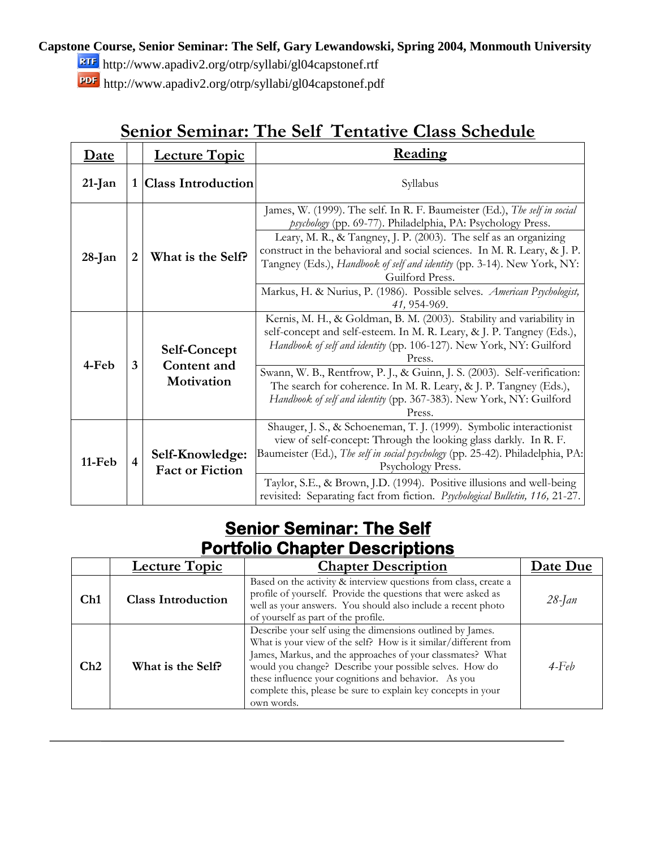#### **Capstone Course, Senior Seminar: The Self, Gary Lewandowski, Spring 2004, Monmouth University**

http://www.apadiv2.org/otrp/syllabi/gl04capstonef.rtf

http://www.apadiv2.org/otrp/syllabi/gl04capstonef.pdf

|             |                         | $\mathbf{v}$                                     | 1110 OCH<br>OIUOO OCHCGAL                                                                                                                                                                                                                                                                                                                                                                                                                                                         |
|-------------|-------------------------|--------------------------------------------------|-----------------------------------------------------------------------------------------------------------------------------------------------------------------------------------------------------------------------------------------------------------------------------------------------------------------------------------------------------------------------------------------------------------------------------------------------------------------------------------|
| <u>Date</u> |                         | <b>Lecture Topic</b>                             | Reading                                                                                                                                                                                                                                                                                                                                                                                                                                                                           |
| 21-Jan      | 1                       | <b>Class Introduction</b>                        | Syllabus                                                                                                                                                                                                                                                                                                                                                                                                                                                                          |
| $28$ -Jan   | 2                       | What is the Self?                                | James, W. (1999). The self. In R. F. Baumeister (Ed.), The self in social<br>psychology (pp. 69-77). Philadelphia, PA: Psychology Press.<br>Leary, M. R., & Tangney, J. P. (2003). The self as an organizing<br>construct in the behavioral and social sciences. In M. R. Leary, & J. P.<br>Tangney (Eds.), Handbook of self and identity (pp. 3-14). New York, NY:<br>Guilford Press.<br>Markus, H. & Nurius, P. (1986). Possible selves. American Psychologist,<br>41, 954-969. |
| 4-Feb       | 3                       | <b>Self-Concept</b><br>Content and<br>Motivation | Kernis, M. H., & Goldman, B. M. (2003). Stability and variability in<br>self-concept and self-esteem. In M. R. Leary, & J. P. Tangney (Eds.),<br>Handbook of self and identity (pp. 106-127). New York, NY: Guilford<br>Press.<br>Swann, W. B., Rentfrow, P. J., & Guinn, J. S. (2003). Self-verification:<br>The search for coherence. In M. R. Leary, & J. P. Tangney (Eds.),<br>Handbook of self and identity (pp. 367-383). New York, NY: Guilford<br>Press.                  |
| 11-Feb      | $\overline{\mathbf{4}}$ | Self-Knowledge:<br><b>Fact or Fiction</b>        | Shauger, J. S., & Schoeneman, T. J. (1999). Symbolic interactionist<br>view of self-concept: Through the looking glass darkly. In R. F.<br>Baumeister (Ed.), The self in social psychology (pp. 25-42). Philadelphia, PA:<br>Psychology Press.<br>Taylor, S.E., & Brown, J.D. (1994). Positive illusions and well-being<br>revisited: Separating fact from fiction. Psychological Bulletin, 116, 21-27.                                                                           |

## **Senior Seminar: The Self Tentative Class Schedule**

## **Senior Seminar: The Self Portfolio Chapter Descriptions**

|     | <b>Lecture Topic</b>      | <b>Chapter Description</b>                                                                                                                                                                                                                                                                                                                                                                    | Date Due  |
|-----|---------------------------|-----------------------------------------------------------------------------------------------------------------------------------------------------------------------------------------------------------------------------------------------------------------------------------------------------------------------------------------------------------------------------------------------|-----------|
| Ch1 | <b>Class Introduction</b> | Based on the activity & interview questions from class, create a<br>profile of yourself. Provide the questions that were asked as<br>well as your answers. You should also include a recent photo<br>of yourself as part of the profile.                                                                                                                                                      | $28$ -Jan |
| Ch2 | What is the Self?         | Describe your self using the dimensions outlined by James.<br>What is your view of the self? How is it similar/different from<br>James, Markus, and the approaches of your classmates? What<br>would you change? Describe your possible selves. How do<br>these influence your cognitions and behavior. As you<br>complete this, please be sure to explain key concepts in your<br>own words. | $4$ -Feb  |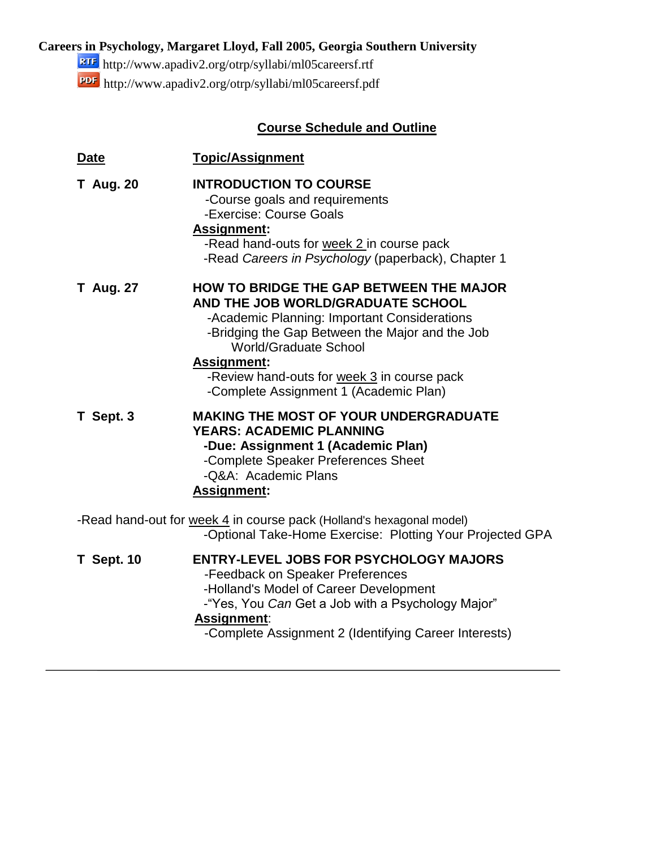### **Careers in Psychology, Margaret Lloyd, Fall 2005, Georgia Southern University**

<http://www.apadiv2.org/otrp/syllabi/ml05careersf.rtf> http://www.apadiv2.org/otrp/syllabi/ml05careersf.pdf

### **Course Schedule and Outline**

| Date              | <b>Topic/Assignment</b>                                                                                                                                                                                                                                                                                                        |
|-------------------|--------------------------------------------------------------------------------------------------------------------------------------------------------------------------------------------------------------------------------------------------------------------------------------------------------------------------------|
| <b>T</b> Aug. 20  | <b>INTRODUCTION TO COURSE</b><br>-Course goals and requirements<br>-Exercise: Course Goals<br><b>Assignment:</b><br>-Read hand-outs for week 2 in course pack<br>-Read Careers in Psychology (paperback), Chapter 1                                                                                                            |
| <b>T</b> Aug. 27  | <b>HOW TO BRIDGE THE GAP BETWEEN THE MAJOR</b><br>AND THE JOB WORLD/GRADUATE SCHOOL<br>-Academic Planning: Important Considerations<br>-Bridging the Gap Between the Major and the Job<br>World/Graduate School<br><b>Assignment:</b><br>-Review hand-outs for week 3 in course pack<br>-Complete Assignment 1 (Academic Plan) |
| T Sept. 3         | <b>MAKING THE MOST OF YOUR UNDERGRADUATE</b><br><b>YEARS: ACADEMIC PLANNING</b><br>-Due: Assignment 1 (Academic Plan)<br>-Complete Speaker Preferences Sheet<br>-Q&A: Academic Plans<br><b>Assignment:</b>                                                                                                                     |
|                   | -Read hand-out for week 4 in course pack (Holland's hexagonal model)<br>-Optional Take-Home Exercise: Plotting Your Projected GPA                                                                                                                                                                                              |
| <b>T</b> Sept. 10 | <b>ENTRY-LEVEL JOBS FOR PSYCHOLOGY MAJORS</b><br>-Feedback on Speaker Preferences<br>-Holland's Model of Career Development<br>-"Yes, You Can Get a Job with a Psychology Major"<br>Assignment:<br>-Complete Assignment 2 (Identifying Career Interests)                                                                       |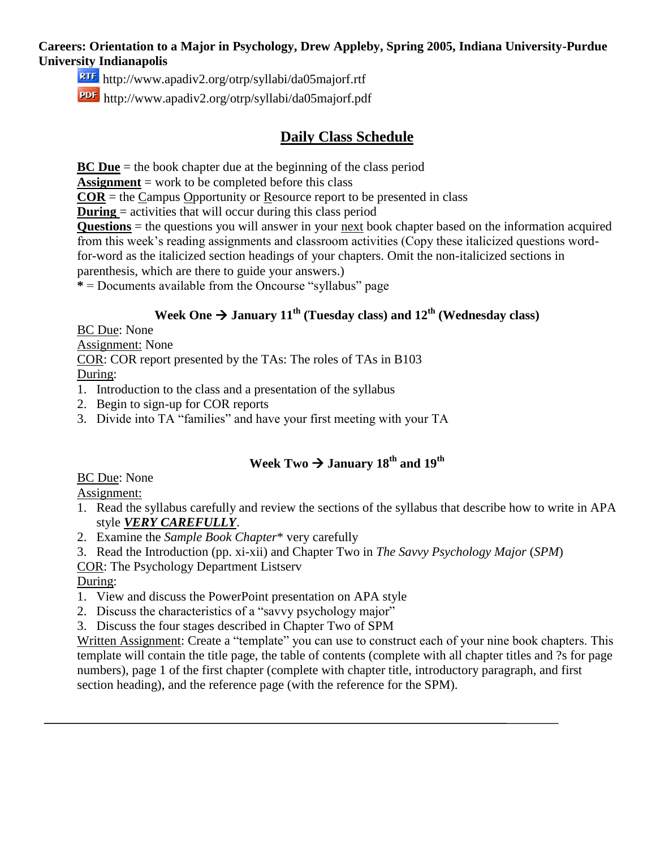#### **Careers: Orientation to a Major in Psychology, Drew Appleby, Spring 2005, Indiana University-Purdue University Indianapolis**

<http://www.apadiv2.org/otrp/syllabi/da05majorf.rtf>

http://www.apadiv2.org/otrp/syllabi/da05majorf.pdf

### **Daily Class Schedule**

**BC Due** = the book chapter due at the beginning of the class period

**Assignment** = work to be completed before this class

 $COR =$  the Campus Opportunity or Resource report to be presented in class

**During** = activities that will occur during this class period

**Questions** = the questions you will answer in your next book chapter based on the information acquired from this week's reading assignments and classroom activities (Copy these italicized questions wordfor-word as the italicized section headings of your chapters. Omit the non-italicized sections in

parenthesis, which are there to guide your answers.)

**\*** = Documents available from the Oncourse "syllabus" page

### **Week One**  $\rightarrow$  **January 11<sup>th</sup> (Tuesday class) and 12<sup>th</sup> (Wednesday class)**

BC Due: None

Assignment: None

COR: COR report presented by the TAs: The roles of TAs in B103

During:

- 1. Introduction to the class and a presentation of the syllabus
- 2. Begin to sign-up for COR reports
- 3. Divide into TA "families" and have your first meeting with your TA

## **Week Two**  $\rightarrow$  **January 18<sup>th</sup> and 19<sup>th</sup>**

BC Due: None

Assignment:

- 1. Read the syllabus carefully and review the sections of the syllabus that describe how to write in APA style *VERY CAREFULLY*.
- 2. Examine the *Sample Book Chapter*\* very carefully
- 3. Read the Introduction (pp. xi-xii) and Chapter Two in *The Savvy Psychology Major* (*SPM*)

COR: The Psychology Department Listserv

During:

- 1. View and discuss the PowerPoint presentation on APA style
- 2. Discuss the characteristics of a "savvy psychology major"
- 3. Discuss the four stages described in Chapter Two of SPM

Written Assignment: Create a "template" you can use to construct each of your nine book chapters. This template will contain the title page, the table of contents (complete with all chapter titles and ?s for page numbers), page 1 of the first chapter (complete with chapter title, introductory paragraph, and first section heading), and the reference page (with the reference for the SPM).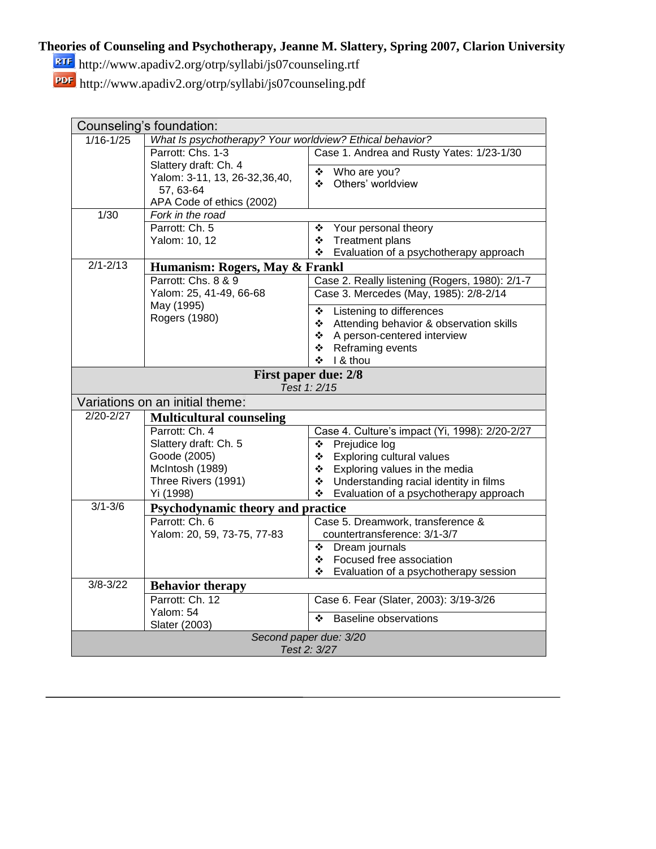### **Theories of Counseling and Psychotherapy, Jeanne M. Slattery, Spring 2007, Clarion University**

http://www.apadiv2.org/otrp/syllabi/js07counseling.rtf

http://www.apadiv2.org/otrp/syllabi/js07counseling.pdf

| Counseling's foundation: |                                                          |                                                |  |  |
|--------------------------|----------------------------------------------------------|------------------------------------------------|--|--|
| $1/16 - 1/25$            | What Is psychotherapy? Your worldview? Ethical behavior? |                                                |  |  |
|                          | Parrott: Chs. 1-3                                        | Case 1. Andrea and Rusty Yates: 1/23-1/30      |  |  |
|                          | Slattery draft: Ch. 4                                    | Who are you?<br>❖                              |  |  |
|                          | Yalom: 3-11, 13, 26-32, 36, 40,                          | Others' worldview<br>❖                         |  |  |
|                          | 57, 63-64                                                |                                                |  |  |
| 1/30                     | APA Code of ethics (2002)<br>Fork in the road            |                                                |  |  |
|                          | Parrott: Ch. 5                                           | Your personal theory<br>❖                      |  |  |
|                          | Yalom: 10, 12                                            | Treatment plans                                |  |  |
|                          |                                                          | Evaluation of a psychotherapy approach<br>❖    |  |  |
| $2/1 - 2/13$             | Humanism: Rogers, May & Frankl                           |                                                |  |  |
|                          | Parrott: Chs. 8 & 9                                      | Case 2. Really listening (Rogers, 1980): 2/1-7 |  |  |
|                          | Yalom: 25, 41-49, 66-68                                  | Case 3. Mercedes (May, 1985): 2/8-2/14         |  |  |
|                          | May (1995)                                               | Listening to differences<br>❖                  |  |  |
|                          | Rogers (1980)                                            | Attending behavior & observation skills<br>❖   |  |  |
|                          |                                                          | A person-centered interview<br>❖               |  |  |
|                          |                                                          | Reframing events<br>❖                          |  |  |
|                          |                                                          | I & thou<br>÷.                                 |  |  |
|                          | <b>First paper due: 2/8</b>                              |                                                |  |  |
|                          |                                                          | Test 1: 2/15                                   |  |  |
|                          | Variations on an initial theme:                          |                                                |  |  |
| $2/20 - 2/27$            | <b>Multicultural counseling</b>                          |                                                |  |  |
|                          | Parrott: Ch. 4                                           | Case 4. Culture's impact (Yi, 1998): 2/20-2/27 |  |  |
|                          | Slattery draft: Ch. 5                                    | Prejudice log<br>❖                             |  |  |
|                          | Goode (2005)                                             | <b>Exploring cultural values</b><br>❖          |  |  |
|                          | McIntosh (1989)                                          | Exploring values in the media<br>❖             |  |  |
|                          | Three Rivers (1991)                                      | Understanding racial identity in films<br>❖    |  |  |
|                          | Yi (1998)                                                | Evaluation of a psychotherapy approach<br>❖    |  |  |
| $3/1 - 3/6$              | <b>Psychodynamic theory and practice</b>                 |                                                |  |  |
|                          | Parrott: Ch. 6                                           | Case 5. Dreamwork, transference &              |  |  |
|                          | Yalom: 20, 59, 73-75, 77-83                              | countertransference: 3/1-3/7                   |  |  |
|                          |                                                          | Dream journals<br>❖                            |  |  |
|                          |                                                          | Focused free association<br>❖                  |  |  |
|                          |                                                          | Evaluation of a psychotherapy session<br>❖     |  |  |
| $3/8 - 3/22$             | <b>Behavior therapy</b>                                  |                                                |  |  |
|                          | Parrott: Ch. 12                                          | Case 6. Fear (Slater, 2003): 3/19-3/26         |  |  |
|                          | Yalom: 54                                                | <b>Baseline observations</b><br>❖              |  |  |
|                          | Slater (2003)                                            |                                                |  |  |
|                          |                                                          | Second paper due: 3/20                         |  |  |
| Test 2: 3/27             |                                                          |                                                |  |  |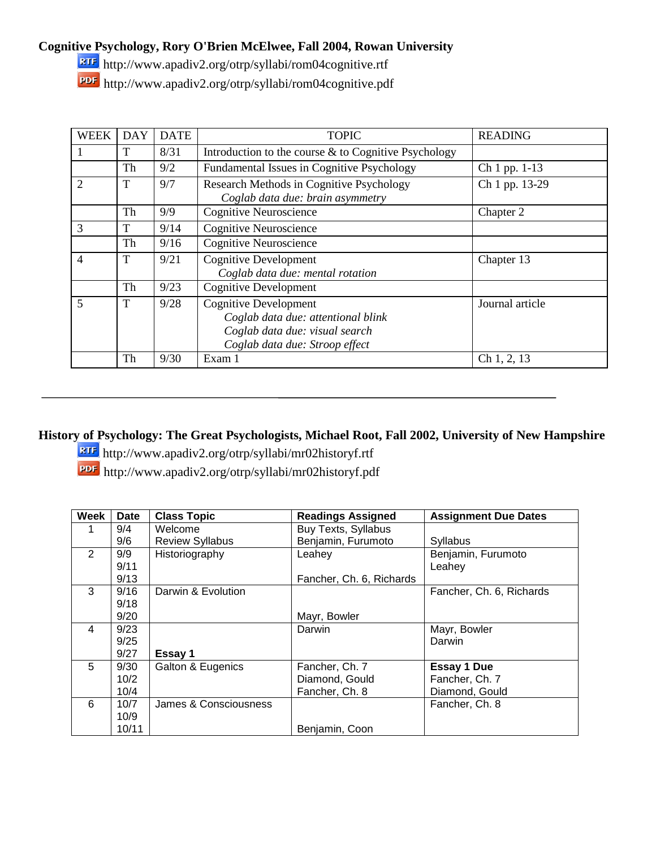**Cognitive Psychology, Rory O'Brien McElwee, Fall 2004, Rowan University**

http://www.apadiv2.org/otrp/syllabi/rom04cognitive.rtf

http://www.apadiv2.org/otrp/syllabi/rom04cognitive.pdf

| WEEK           | <b>DAY</b> | <b>DATE</b> | <b>TOPIC</b>                                                                                                                           | <b>READING</b>  |
|----------------|------------|-------------|----------------------------------------------------------------------------------------------------------------------------------------|-----------------|
|                | T          | 8/31        | Introduction to the course & to Cognitive Psychology                                                                                   |                 |
|                | Th         | 9/2         | Fundamental Issues in Cognitive Psychology                                                                                             | Ch 1 pp. 1-13   |
| $\overline{2}$ | T          | 9/7         | Research Methods in Cognitive Psychology<br>Coglab data due: brain asymmetry                                                           | Ch 1 pp. 13-29  |
|                | Th         | 9/9         | <b>Cognitive Neuroscience</b>                                                                                                          | Chapter 2       |
| 3              | T          | 9/14        | <b>Cognitive Neuroscience</b>                                                                                                          |                 |
|                | Th         | 9/16        | <b>Cognitive Neuroscience</b>                                                                                                          |                 |
| 4              | T          | 9/21        | <b>Cognitive Development</b><br>Coglab data due: mental rotation                                                                       | Chapter 13      |
|                | Th         | 9/23        | <b>Cognitive Development</b>                                                                                                           |                 |
| 5              | T          | 9/28        | <b>Cognitive Development</b><br>Coglab data due: attentional blink<br>Coglab data due: visual search<br>Coglab data due: Stroop effect | Journal article |
|                | Th         | 9/30        | Exam 1                                                                                                                                 | Ch 1, 2, 13     |

**History of Psychology: The Great Psychologists, Michael Root, Fall 2002, University of New Hampshire** 

http://www.apadiv2.org/otrp/syllabi/mr02historyf.rtf

http://www.apadiv2.org/otrp/syllabi/mr02historyf.pdf

| Week          | <b>Date</b> | <b>Class Topic</b>     | <b>Readings Assigned</b>   | <b>Assignment Due Dates</b> |
|---------------|-------------|------------------------|----------------------------|-----------------------------|
|               | 9/4         | Welcome                | <b>Buy Texts, Syllabus</b> |                             |
|               | 9/6         | <b>Review Syllabus</b> | Benjamin, Furumoto         | Syllabus                    |
| $\mathcal{P}$ | 9/9         | Historiography         | Leahey                     | Benjamin, Furumoto          |
|               | 9/11        |                        |                            | Leahey                      |
|               | 9/13        |                        | Fancher, Ch. 6, Richards   |                             |
| 3             | 9/16        | Darwin & Evolution     |                            | Fancher, Ch. 6, Richards    |
|               | 9/18        |                        |                            |                             |
|               | 9/20        |                        | Mayr, Bowler               |                             |
| 4             | 9/23        |                        | Darwin                     | Mayr, Bowler                |
|               | 9/25        |                        |                            | Darwin                      |
|               | 9/27        | Essay 1                |                            |                             |
| 5             | 9/30        | Galton & Eugenics      | Fancher, Ch. 7             | <b>Essay 1 Due</b>          |
|               | 10/2        |                        | Diamond, Gould             | Fancher, Ch. 7              |
|               | 10/4        |                        | Fancher, Ch. 8             | Diamond, Gould              |
| 6             | 10/7        | James & Consciousness  |                            | Fancher, Ch. 8              |
|               | 10/9        |                        |                            |                             |
|               | 10/11       |                        | Benjamin, Coon             |                             |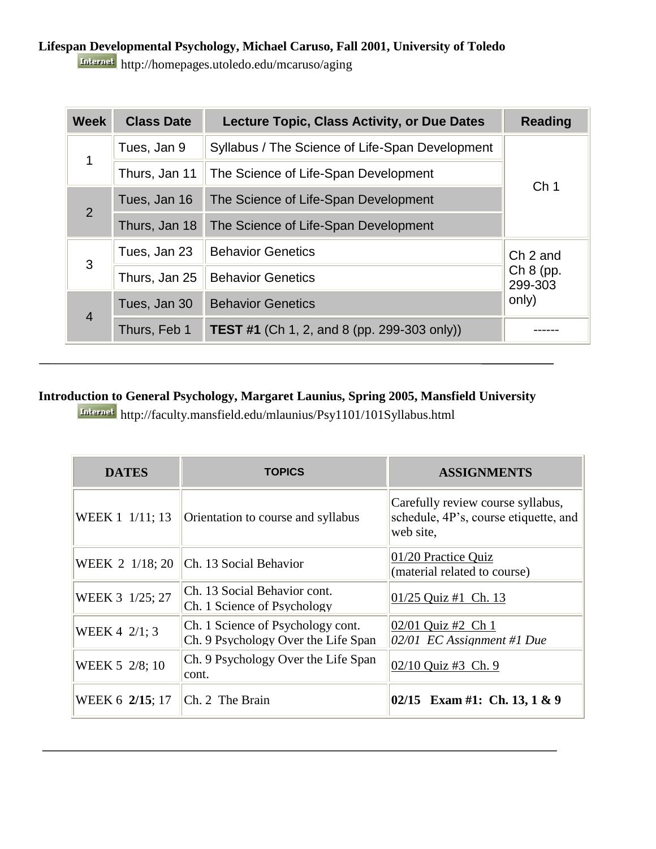### **Lifespan Developmental Psychology, Michael Caruso, Fall 2001, University of Toledo**

http://homepages.utoledo.edu/mcaruso/aging

| <b>Week</b>    | <b>Class Date</b> | <b>Lecture Topic, Class Activity, or Due Dates</b> | <b>Reading</b>         |
|----------------|-------------------|----------------------------------------------------|------------------------|
| 1              | Tues, Jan 9       | Syllabus / The Science of Life-Span Development    |                        |
|                | Thurs, Jan 11     | The Science of Life-Span Development               | Ch <sub>1</sub>        |
| $\overline{2}$ | Tues, Jan 16      | The Science of Life-Span Development               |                        |
|                | Thurs, Jan 18     | The Science of Life-Span Development               |                        |
| 3              | Tues, Jan 23      | <b>Behavior Genetics</b>                           | Ch 2 and               |
|                | Thurs, Jan 25     | <b>Behavior Genetics</b>                           | $Ch 8$ (pp.<br>299-303 |
| $\overline{4}$ | Tues, Jan 30      | <b>Behavior Genetics</b>                           | only)                  |
|                | Thurs, Feb 1      | <b>TEST #1</b> (Ch 1, 2, and 8 (pp. 299-303 only)) |                        |

#### **Introduction to General Psychology, Margaret Launius, Spring 2005, Mansfield University**

http://faculty.mansfield.edu/mlaunius/Psy1101/101Syllabus.html

| <b>DATES</b>    | <b>TOPICS</b>                                                            | <b>ASSIGNMENTS</b>                                                                      |
|-----------------|--------------------------------------------------------------------------|-----------------------------------------------------------------------------------------|
| WEEK 1 1/11; 13 | Orientation to course and syllabus                                       | Carefully review course syllabus,<br>schedule, 4P's, course etiquette, and<br>web site, |
| WEEK 2 1/18; 20 | Ch. 13 Social Behavior                                                   | 01/20 Practice Quiz<br>(material related to course)                                     |
| WEEK 3 1/25; 27 | Ch. 13 Social Behavior cont.<br>Ch. 1 Science of Psychology              | 01/25 Quiz #1 Ch. 13                                                                    |
| WEEK 4 2/1; 3   | Ch. 1 Science of Psychology cont.<br>Ch. 9 Psychology Over the Life Span | 02/01 Quiz #2 Ch 1<br>02/01 EC Assignment #1 Due                                        |
| WEEK 5 2/8; 10  | Ch. 9 Psychology Over the Life Span<br>cont.                             | 02/10 Quiz #3 Ch. 9                                                                     |
| WEEK 6 2/15; 17 | Ch. 2 The Brain                                                          | 02/15 Exam #1: Ch. 13, 1 & 9                                                            |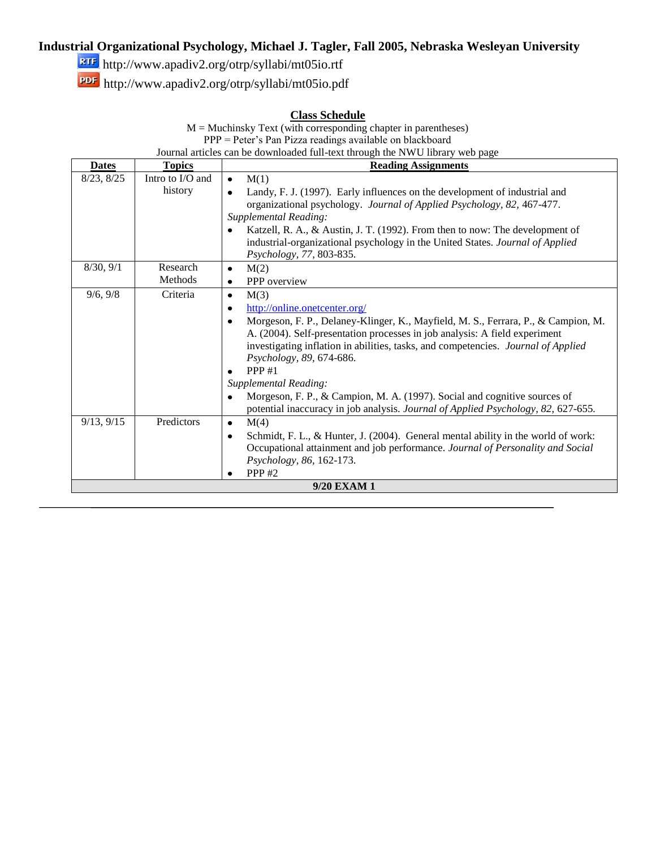### **Industrial Organizational Psychology, Michael J. Tagler, Fall 2005, Nebraska Wesleyan University**

**ETF** http://www.apadiv2.org/otrp/syllabi/mt05io.rtf

http://www.apadiv2.org/otrp/syllabi/mt05io.pdf

### **Class Schedule**

| $M =$ Muchinsky Text (with corresponding chapter in parentheses)              |               |                                                                                                |  |  |  |  |
|-------------------------------------------------------------------------------|---------------|------------------------------------------------------------------------------------------------|--|--|--|--|
| PPP = Peter's Pan Pizza readings available on blackboard                      |               |                                                                                                |  |  |  |  |
| Journal articles can be downloaded full-text through the NWU library web page |               |                                                                                                |  |  |  |  |
| <b>Dates</b>                                                                  | <b>Topics</b> | <b>Reading Assignments</b>                                                                     |  |  |  |  |
| Intro to I/O and<br>8/23, 8/25<br>M(1)<br>$\bullet$                           |               |                                                                                                |  |  |  |  |
|                                                                               | history       | Landy, F. J. (1997). Early influences on the development of industrial and<br>$\bullet$        |  |  |  |  |
|                                                                               |               | organizational psychology. Journal of Applied Psychology, 82, 467-477.                         |  |  |  |  |
|                                                                               |               | Supplemental Reading:                                                                          |  |  |  |  |
|                                                                               |               | Katzell, R. A., & Austin, J. T. (1992). From then to now: The development of<br>$\bullet$      |  |  |  |  |
|                                                                               |               | industrial-organizational psychology in the United States. Journal of Applied                  |  |  |  |  |
|                                                                               |               | Psychology, 77, 803-835.                                                                       |  |  |  |  |
| 8/30, 9/1                                                                     | Research      | M(2)<br>$\bullet$                                                                              |  |  |  |  |
|                                                                               | Methods       | PPP overview<br>٠                                                                              |  |  |  |  |
| 9/6, 9/8                                                                      | Criteria      | M(3)<br>$\bullet$                                                                              |  |  |  |  |
|                                                                               |               | http://online.onetcenter.org/<br>$\bullet$                                                     |  |  |  |  |
|                                                                               |               | Morgeson, F. P., Delaney-Klinger, K., Mayfield, M. S., Ferrara, P., & Campion, M.<br>$\bullet$ |  |  |  |  |
|                                                                               |               | A. (2004). Self-presentation processes in job analysis: A field experiment                     |  |  |  |  |
|                                                                               |               | investigating inflation in abilities, tasks, and competencies. Journal of Applied              |  |  |  |  |
|                                                                               |               | Psychology, 89, 674-686.<br>PPP $#1$                                                           |  |  |  |  |
|                                                                               |               | $\bullet$<br>Supplemental Reading:                                                             |  |  |  |  |
|                                                                               |               | Morgeson, F. P., & Campion, M. A. (1997). Social and cognitive sources of<br>$\bullet$         |  |  |  |  |
|                                                                               |               | potential inaccuracy in job analysis. Journal of Applied Psychology, 82, 627-655.              |  |  |  |  |
| 9/13, 9/15                                                                    | Predictors    | M(4)<br>$\bullet$                                                                              |  |  |  |  |
|                                                                               |               | Schmidt, F. L., & Hunter, J. (2004). General mental ability in the world of work:<br>٠         |  |  |  |  |
|                                                                               |               | Occupational attainment and job performance. Journal of Personality and Social                 |  |  |  |  |
|                                                                               |               | Psychology, 86, 162-173.                                                                       |  |  |  |  |
|                                                                               |               | PPP $#2$                                                                                       |  |  |  |  |
| 9/20 EXAM 1                                                                   |               |                                                                                                |  |  |  |  |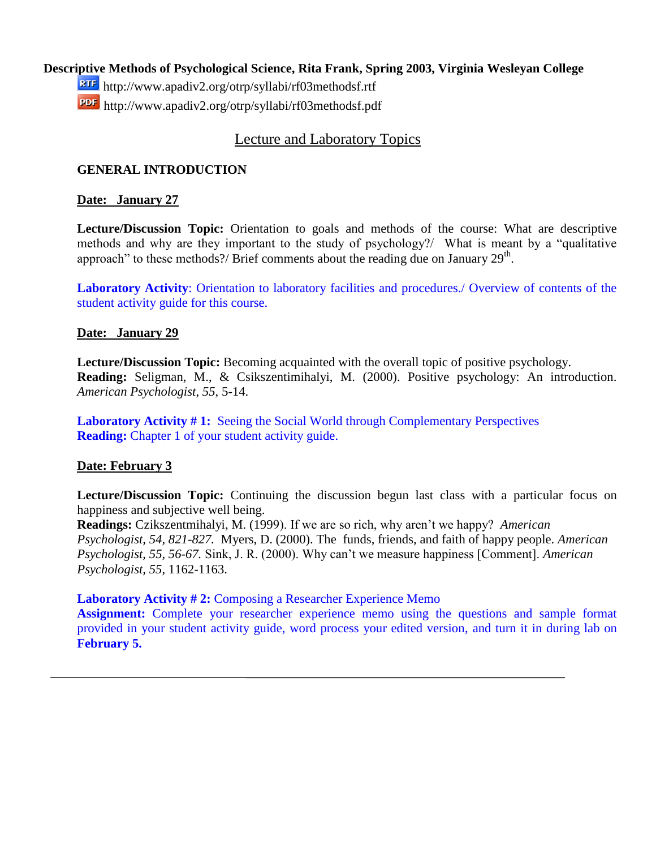#### **Descriptive Methods of Psychological Science, Rita Frank, Spring 2003, Virginia Wesleyan College**

http://www.apadiv2.org/otrp/syllabi/rf03methodsf.rtf http://www.apadiv2.org/otrp/syllabi/rf03methodsf.pdf

#### Lecture and Laboratory Topics

#### **GENERAL INTRODUCTION**

#### **Date: January 27**

**Lecture/Discussion Topic:** Orientation to goals and methods of the course: What are descriptive methods and why are they important to the study of psychology?/ What is meant by a "qualitative approach" to these methods?/ Brief comments about the reading due on January 29<sup>th</sup>.

**Laboratory Activity**: Orientation to laboratory facilities and procedures./ Overview of contents of the student activity guide for this course.

#### **Date: January 29**

**Lecture/Discussion Topic:** Becoming acquainted with the overall topic of positive psychology. **Reading:** Seligman, M., & Csikszentimihalyi, M. (2000). Positive psychology: An introduction. *American Psychologist*, *55*, 5-14.

Laboratory Activity #1: Seeing the Social World through Complementary Perspectives **Reading:** Chapter 1 of your student activity guide.

#### **Date: February 3**

**Lecture/Discussion Topic:** Continuing the discussion begun last class with a particular focus on happiness and subjective well being.

**Readings:** Czikszentmihalyi, M. (1999). If we are so rich, why aren't we happy? *American Psychologist, 54, 821-827.* Myers, D. (2000). The funds, friends, and faith of happy people. *American Psychologist, 55, 56-67.* Sink, J. R. (2000). Why can't we measure happiness [Comment]. *American Psychologist, 55,* 1162-1163.

#### **Laboratory Activity # 2:** Composing a Researcher Experience Memo

**Assignment:** Complete your researcher experience memo using the questions and sample format provided in your student activity guide, word process your edited version, and turn it in during lab on **February 5.**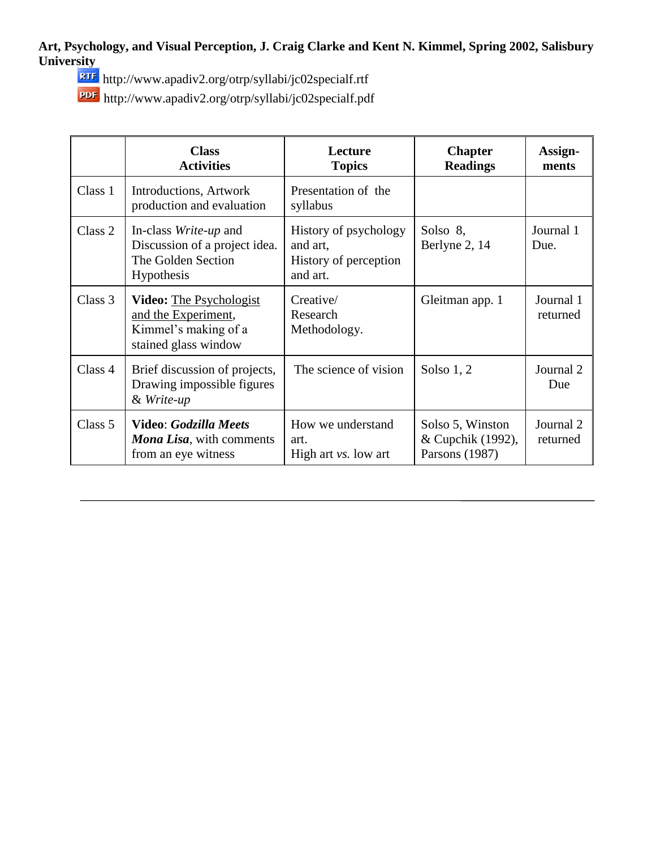**Art, Psychology, and Visual Perception, J. Craig Clarke and Kent N. Kimmel, Spring 2002, Salisbury University**

http://www.apadiv2.org/otrp/syllabi/jc02specialf.rtf

http://www.apadiv2.org/otrp/syllabi/jc02specialf.pdf

|         | <b>Class</b><br><b>Activities</b>                                                                     | Lecture<br><b>Topics</b>                                               | <b>Chapter</b><br><b>Readings</b>                       | Assign-<br>ments      |
|---------|-------------------------------------------------------------------------------------------------------|------------------------------------------------------------------------|---------------------------------------------------------|-----------------------|
| Class 1 | Introductions, Artwork<br>production and evaluation                                                   | Presentation of the<br>syllabus                                        |                                                         |                       |
| Class 2 | In-class Write-up and<br>Discussion of a project idea.<br>The Golden Section<br><b>Hypothesis</b>     | History of psychology<br>and art,<br>History of perception<br>and art. | Solso 8,<br>Berlyne 2, 14                               | Journal 1<br>Due.     |
| Class 3 | <b>Video:</b> The Psychologist<br>and the Experiment,<br>Kimmel's making of a<br>stained glass window | Creative/<br>Research<br>Methodology.                                  | Gleitman app. 1                                         | Journal 1<br>returned |
| Class 4 | Brief discussion of projects,<br>Drawing impossible figures<br>& Write-up                             | The science of vision                                                  | Solso $1, 2$                                            | Journal 2<br>Due      |
| Class 5 | <b>Video: Godzilla Meets</b><br><b>Mona Lisa</b> , with comments<br>from an eye witness               | How we understand<br>art.<br>High art vs. low art                      | Solso 5, Winston<br>& Cupchik (1992),<br>Parsons (1987) | Journal 2<br>returned |